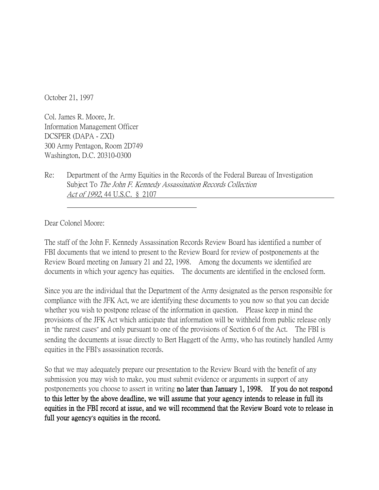October 21, 1997

Col. James R. Moore, Jr. Information Management Officer DCSPER (DAPA - ZXI) 300 Army Pentagon, Room 2D749 Washington, D.C. 20310-0300

Re: Department of the Army Equities in the Records of the Federal Bureau of Investigation Subject To The John F. Kennedy Assassination Records Collection Act of 1992, 44 U.S.C. § 2107

Dear Colonel Moore:

The staff of the John F. Kennedy Assassination Records Review Board has identified a number of FBI documents that we intend to present to the Review Board for review of postponements at the Review Board meeting on January 21 and 22, 1998. Among the documents we identified are documents in which your agency has equities. The documents are identified in the enclosed form.

Since you are the individual that the Department of the Army designated as the person responsible for compliance with the JFK Act, we are identifying these documents to you now so that you can decide whether you wish to postpone release of the information in question. Please keep in mind the provisions of the JFK Act which anticipate that information will be withheld from public release only in "the rarest cases" and only pursuant to one of the provisions of Section 6 of the Act. The FBI is sending the documents at issue directly to Bert Haggett of the Army, who has routinely handled Army equities in the FBI's assassination records.

So that we may adequately prepare our presentation to the Review Board with the benefit of any submission you may wish to make, you must submit evidence or arguments in support of any postponements you choose to assert in writing no later than January 1, 1998. If you do not respond to this letter by the above deadline, we will assume that your agency intends to release in full its equities in the FBI record at issue, and we will recommend that the Review Board vote to release in full your agency**'**s equities in the record.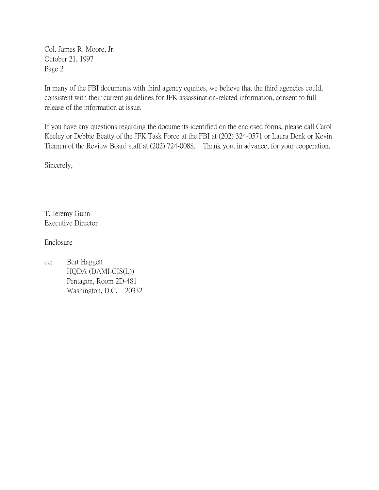Col. James R. Moore, Jr. October 21, 1997 Page 2

In many of the FBI documents with third agency equities, we believe that the third agencies could, consistent with their current guidelines for JFK assassination-related information, consent to full release of the information at issue.

If you have any questions regarding the documents identified on the enclosed forms, please call Carol Keeley or Debbie Beatty of the JFK Task Force at the FBI at (202) 324-0571 or Laura Denk or Kevin Tiernan of the Review Board staff at (202) 724-0088. Thank you, in advance, for your cooperation.

Sincerely,

T. Jeremy Gunn Executive Director

Enclosure

cc: Bert Haggett HQDA (DAMI-CIS(L)) Pentagon, Room 2D-481 Washington, D.C. 20332